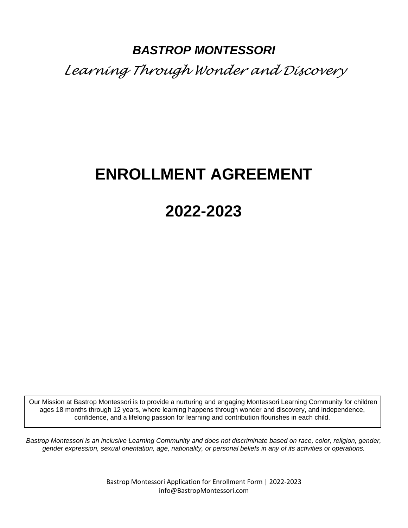### *BASTROP MONTESSORI*

*Learning Through Wonder and Discovery* 

## **ENROLLMENT AGREEMENT**

# **2022-2023**

Our Mission at Bastrop Montessori is to provide a nurturing and engaging Montessori Learning Community for children ages 18 months through 12 years, where learning happens through wonder and discovery, and independence, confidence, and a lifelong passion for learning and contribution flourishes in each child.

*Bastrop Montessori is an inclusive Learning Community and does not discriminate based on race, color, religion, gender, gender expression, sexual orientation, age, nationality, or personal beliefs in any of its activities or operations.*

> Bastrop Montessori Application for Enrollment Form | 2022-2023 info@BastropMontessori.com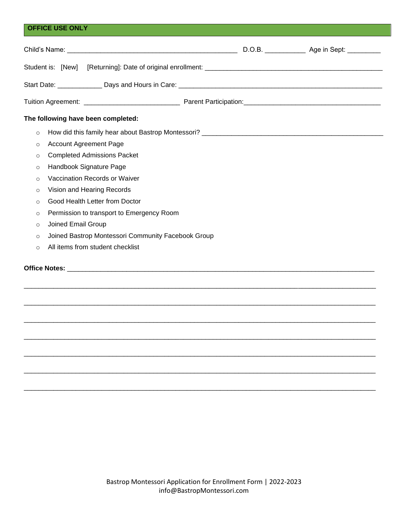### **OFFICE USE ONLY**

| The following have been completed:                            |  |
|---------------------------------------------------------------|--|
| $\circ$                                                       |  |
| <b>Account Agreement Page</b><br>$\circ$                      |  |
| <b>Completed Admissions Packet</b><br>$\circ$                 |  |
| Handbook Signature Page<br>$\circ$                            |  |
| Vaccination Records or Waiver<br>$\circ$                      |  |
| Vision and Hearing Records<br>$\circ$                         |  |
| Good Health Letter from Doctor<br>$\Omega$                    |  |
| Permission to transport to Emergency Room<br>$\circ$          |  |
| Joined Email Group<br>$\circ$                                 |  |
| Joined Bastrop Montessori Community Facebook Group<br>$\circ$ |  |
| All items from student checklist<br>$\circ$                   |  |
|                                                               |  |
|                                                               |  |
|                                                               |  |
|                                                               |  |
|                                                               |  |
|                                                               |  |
|                                                               |  |

\_\_\_\_\_\_\_\_\_\_\_\_\_\_\_\_\_\_\_\_\_\_\_\_\_\_\_\_\_\_\_\_\_\_\_\_\_\_\_\_\_\_\_\_\_\_\_\_\_\_\_\_\_\_\_\_\_\_\_\_\_\_\_\_\_\_\_\_\_\_\_\_\_\_\_\_\_\_\_\_\_\_\_\_\_\_\_\_\_\_\_\_\_\_\_

\_\_\_\_\_\_\_\_\_\_\_\_\_\_\_\_\_\_\_\_\_\_\_\_\_\_\_\_\_\_\_\_\_\_\_\_\_\_\_\_\_\_\_\_\_\_\_\_\_\_\_\_\_\_\_\_\_\_\_\_\_\_\_\_\_\_\_\_\_\_\_\_\_\_\_\_\_\_\_\_\_\_\_\_\_\_\_\_\_\_\_\_\_\_\_

\_\_\_\_\_\_\_\_\_\_\_\_\_\_\_\_\_\_\_\_\_\_\_\_\_\_\_\_\_\_\_\_\_\_\_\_\_\_\_\_\_\_\_\_\_\_\_\_\_\_\_\_\_\_\_\_\_\_\_\_\_\_\_\_\_\_\_\_\_\_\_\_\_\_\_\_\_\_\_\_\_\_\_\_\_\_\_\_\_\_\_\_\_\_\_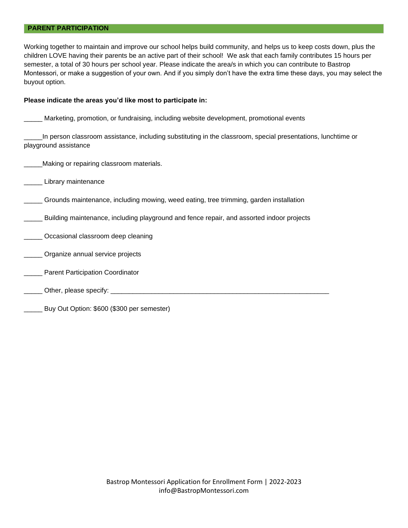#### **PARENT PARTICIPATION**

Working together to maintain and improve our school helps build community, and helps us to keep costs down, plus the children LOVE having their parents be an active part of their school! We ask that each family contributes 15 hours per semester, a total of 30 hours per school year. Please indicate the area/s in which you can contribute to Bastrop Montessori, or make a suggestion of your own. And if you simply don't have the extra time these days, you may select the buyout option.

#### **Please indicate the areas you'd like most to participate in:**

Marketing, promotion, or fundraising, including website development, promotional events

\_\_\_\_\_In person classroom assistance, including substituting in the classroom, special presentations, lunchtime or playground assistance

\_\_\_\_\_Making or repairing classroom materials.

\_\_\_\_\_ Library maintenance

- \_\_\_\_\_ Grounds maintenance, including mowing, weed eating, tree trimming, garden installation
- \_\_\_\_\_ Building maintenance, including playground and fence repair, and assorted indoor projects
- \_\_\_\_\_ Occasional classroom deep cleaning
- \_\_\_\_\_ Organize annual service projects
- \_\_\_\_\_ Parent Participation Coordinator
- \_\_\_\_\_ Other, please specify: \_\_\_\_\_\_\_\_\_\_\_\_\_\_\_\_\_\_\_\_\_\_\_\_\_\_\_\_\_\_\_\_\_\_\_\_\_\_\_\_\_\_\_\_\_\_\_\_\_\_\_\_\_\_\_\_\_\_\_
- Buy Out Option: \$600 (\$300 per semester)